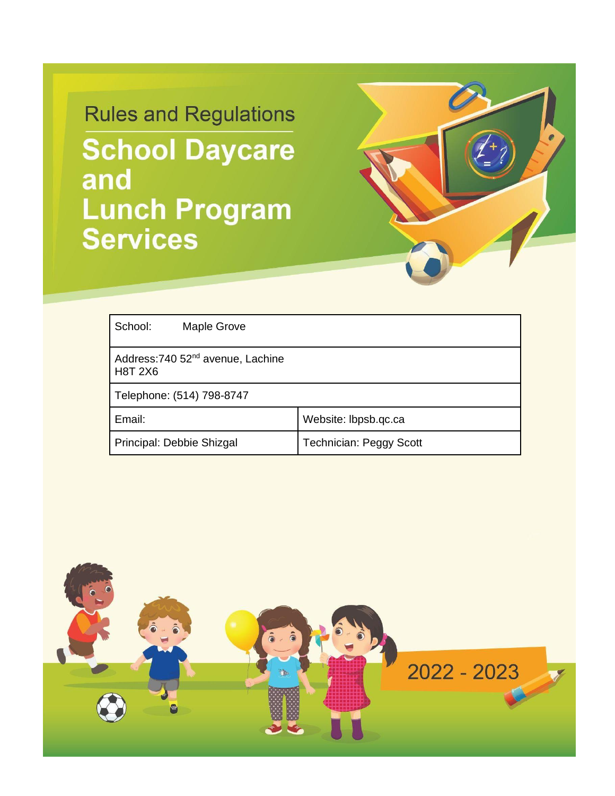# **Rules and Regulations School Daycare** and **Lunch Program Services**



| School:<br>Maple Grove                                          |                                |  |
|-----------------------------------------------------------------|--------------------------------|--|
| Address: 740 52 <sup>nd</sup> avenue, Lachine<br><b>H8T 2X6</b> |                                |  |
| Telephone: (514) 798-8747                                       |                                |  |
| Email:                                                          | Website: lbpsb.qc.ca           |  |
| Principal: Debbie Shizgal                                       | <b>Technician: Peggy Scott</b> |  |

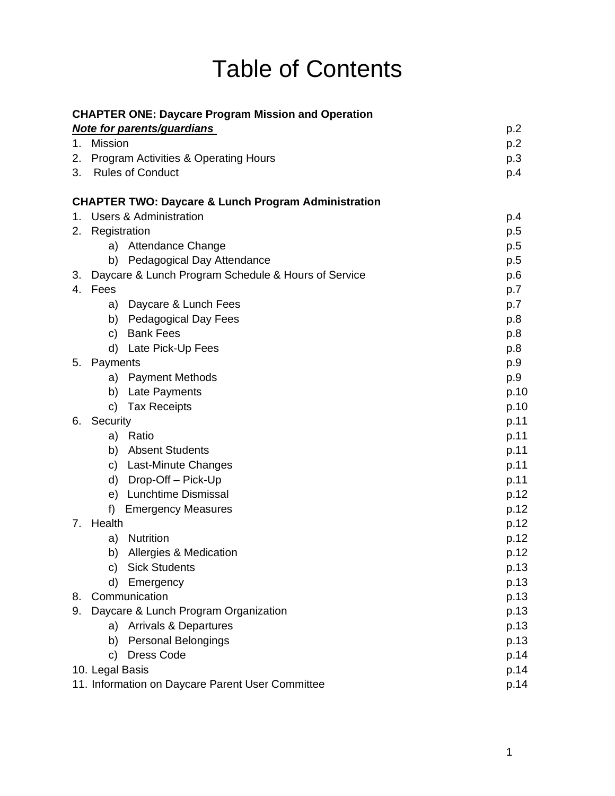# Table of Contents

|         | <b>CHAPTER ONE: Daycare Program Mission and Operation</b>      |      |
|---------|----------------------------------------------------------------|------|
|         | <b>Note for parents/guardians</b>                              | p.2  |
| $1_{-}$ | <b>Mission</b>                                                 | p.2  |
|         | 2. Program Activities & Operating Hours                        | p.3  |
| 3.      | <b>Rules of Conduct</b>                                        | p.4  |
|         | <b>CHAPTER TWO: Daycare &amp; Lunch Program Administration</b> |      |
| 1.      | <b>Users &amp; Administration</b>                              | p.4  |
| 2.      | Registration                                                   | p.5  |
|         | Attendance Change<br>a)                                        | p.5  |
|         | b) Pedagogical Day Attendance                                  | p.5  |
| 3.      | Daycare & Lunch Program Schedule & Hours of Service            | p.6  |
| 4.      | Fees                                                           | p.7  |
|         | Daycare & Lunch Fees<br>a)                                     | p.7  |
|         | Pedagogical Day Fees<br>b)                                     | p.8  |
|         | <b>Bank Fees</b><br>C)                                         | p.8  |
|         | Late Pick-Up Fees<br>d)                                        | p.8  |
| 5.      | Payments                                                       | p.9  |
|         | <b>Payment Methods</b><br>a)                                   | p.9  |
|         | b)<br>Late Payments                                            | p.10 |
|         | <b>Tax Receipts</b><br>C)                                      | p.10 |
| 6.      | Security                                                       | p.11 |
|         | a) Ratio                                                       | p.11 |
|         | <b>Absent Students</b><br>b)                                   | p.11 |
|         | c) Last-Minute Changes                                         | p.11 |
|         | Drop-Off - Pick-Up<br>d)                                       | p.11 |
|         | <b>Lunchtime Dismissal</b><br>e)                               | p.12 |
|         | f)<br><b>Emergency Measures</b>                                | p.12 |
| 7.      | Health                                                         | p.12 |
|         | <b>Nutrition</b><br>a)                                         | p.12 |
|         | Allergies & Medication<br>b)                                   | p.12 |
|         | <b>Sick Students</b><br>C)                                     | p.13 |
|         | d)<br>Emergency                                                | p.13 |
| 8.      | Communication                                                  | p.13 |
| 9.      | Daycare & Lunch Program Organization                           | p.13 |
|         | a) Arrivals & Departures                                       | p.13 |
|         | b) Personal Belongings                                         | p.13 |
|         | <b>Dress Code</b><br>c)                                        | p.14 |
|         | 10. Legal Basis                                                | p.14 |
|         | 11. Information on Daycare Parent User Committee               | p.14 |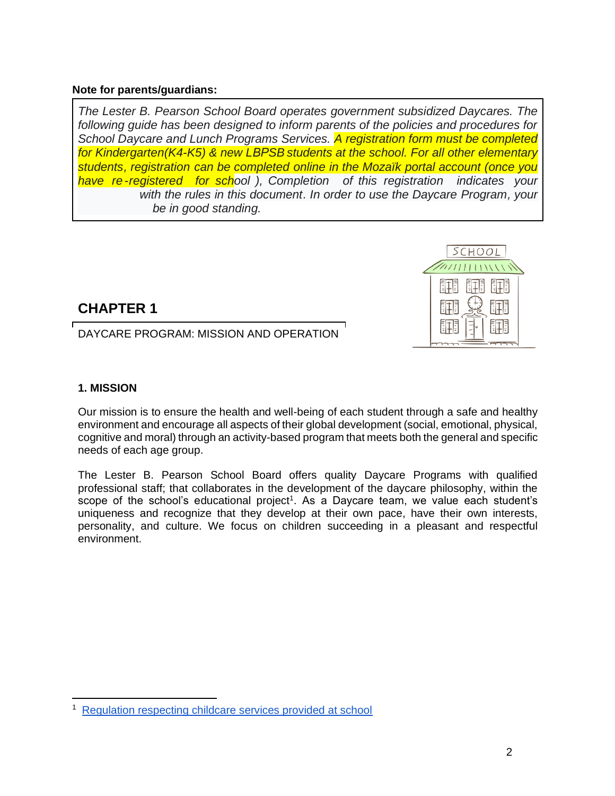#### **Note for parents/guardians:**

*The Lester B. Pearson School Board operates government subsidized Daycares. The following guide has been designed to inform parents of the policies and procedures for School Daycare and Lunch Programs Services. A registration form must be completed for Kindergarten(K4-K5) & new LBPSB students at the school. For all other elementary students, registration can be completed online in the Mozaïk portal account (once you have re -registered for school ), Completion of this registration indicates your agreement with the rules in this document. In order to use the Daycare Program, your account must be in good standing.*

# **CHAPTER 1**

DAYCARE PROGRAM: MISSION AND OPERATION

# **1. MISSION**

Our mission is to ensure the health and well-being of each student through a safe and healthy environment and encourage all aspects of their global development (social, emotional, physical, cognitive and moral) through an activity-based program that meets both the general and specific needs of each age group.

The Lester B. Pearson School Board offers quality Daycare Programs with qualified professional staff; that collaborates in the development of the daycare philosophy, within the scope of the school's educational project<sup>1</sup>. As a Daycare team, we value each student's uniqueness and recognize that they develop at their own pace, have their own interests, personality, and culture. We focus on children succeeding in a pleasant and respectful environment.



<sup>1</sup> [Regulation respecting childcare services provided at school](https://www.legisquebec.gouv.qc.ca/en/document/cr/I-13.3,%20r.%2011)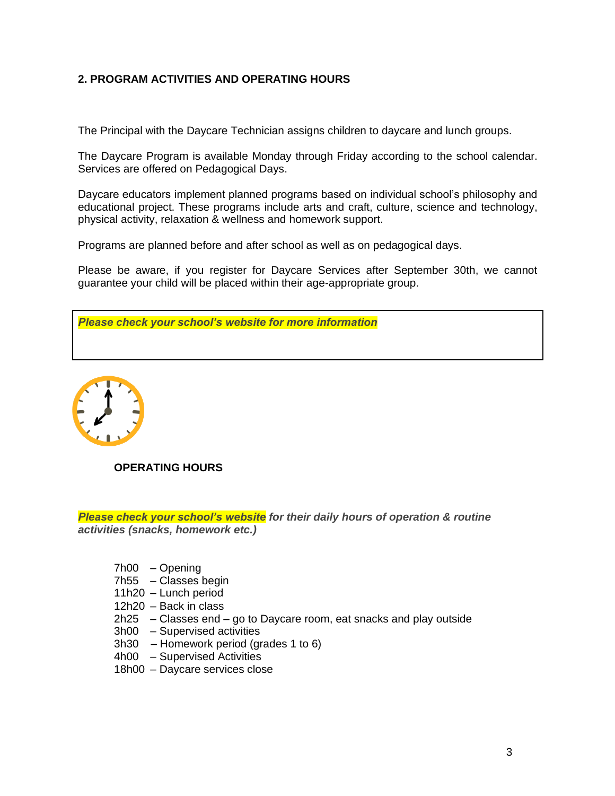# **2. PROGRAM ACTIVITIES AND OPERATING HOURS**

The Principal with the Daycare Technician assigns children to daycare and lunch groups.

The Daycare Program is available Monday through Friday according to the school calendar. Services are offered on Pedagogical Days.

Daycare educators implement planned programs based on individual school's philosophy and educational project. These programs include arts and craft, culture, science and technology, physical activity, relaxation & wellness and homework support.

Programs are planned before and after school as well as on pedagogical days.

Please be aware, if you register for Daycare Services after September 30th, we cannot guarantee your child will be placed within their age-appropriate group.





**OPERATING HOURS**

*Please check your school's website for their daily hours of operation & routine activities (snacks, homework etc.)*

- 7h00 Opening
- 7h55 Classes begin
- 11h20 Lunch period
- 12h20 Back in class
- 2h25 Classes end go to Daycare room, eat snacks and play outside
- 3h00 Supervised activities
- 3h30 Homework period (grades 1 to 6)
- 4h00 Supervised Activities
- 18h00 Daycare services close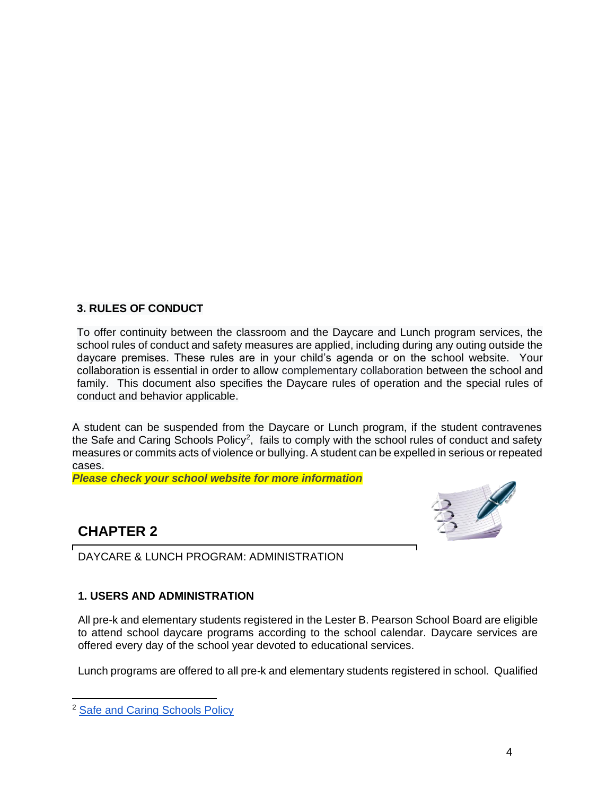# **3. RULES OF CONDUCT**

To offer continuity between the classroom and the Daycare and Lunch program services, the school rules of conduct and safety measures are applied, including during any outing outside the daycare premises. These rules are in your child's agenda or on the school website. Your collaboration is essential in order to allow complementary collaboration between the school and family. This document also specifies the Daycare rules of operation and the special rules of conduct and behavior applicable.

A student can be suspended from the Daycare or Lunch program, if the student contravenes the Safe and Caring Schools Policy<sup>2</sup>, fails to comply with the school rules of conduct and safety measures or commits acts of violence or bullying. A student can be expelled in serious or repeated cases.

*Please check your school website for more information* 

# **CHAPTER 2**

DAYCARE & LUNCH PROGRAM: ADMINISTRATION

# **1. USERS AND ADMINISTRATION**

All pre-k and elementary students registered in the Lester B. Pearson School Board are eligible to attend school daycare programs according to the school calendar. Daycare services are offered every day of the school year devoted to educational services.

Lunch programs are offered to all pre-k and elementary students registered in school. Qualified

<sup>&</sup>lt;sup>2</sup> [Safe and Caring Schools Policy](https://www.lbpsb.qc.ca/wp-content/uploads/Policy20on20Safe20and20Caring20Schools_Nov202016-v6_asof2017JAN11.pdf)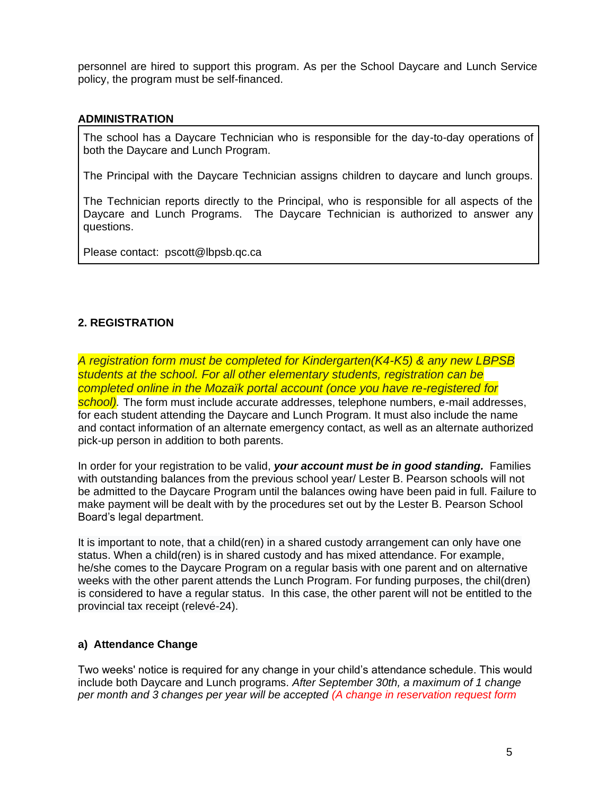personnel are hired to support this program. As per the School Daycare and Lunch Service policy, the program must be self-financed.

#### **ADMINISTRATION**

The school has a Daycare Technician who is responsible for the day-to-day operations of both the Daycare and Lunch Program.

The Principal with the Daycare Technician assigns children to daycare and lunch groups.

The Technician reports directly to the Principal, who is responsible for all aspects of the Daycare and Lunch Programs. The Daycare Technician is authorized to answer any questions.

Please contact: pscott@lbpsb.qc.ca

# **2. REGISTRATION**

*A registration form must be completed for Kindergarten(K4-K5) & any new LBPSB students at the school. For all other elementary students, registration can be completed online in the Mozaïk portal account (once you have re-registered for school).* The form must include accurate addresses, telephone numbers, e-mail addresses, for each student attending the Daycare and Lunch Program. It must also include the name and contact information of an alternate emergency contact, as well as an alternate authorized pick-up person in addition to both parents.

In order for your registration to be valid, *your account must be in good standing.* Families with outstanding balances from the previous school year/ Lester B. Pearson schools will not be admitted to the Daycare Program until the balances owing have been paid in full. Failure to make payment will be dealt with by the procedures set out by the Lester B. Pearson School Board's legal department.

It is important to note, that a child(ren) in a shared custody arrangement can only have one status. When a child(ren) is in shared custody and has mixed attendance. For example, he/she comes to the Daycare Program on a regular basis with one parent and on alternative weeks with the other parent attends the Lunch Program. For funding purposes, the chil(dren) is considered to have a regular status. In this case, the other parent will not be entitled to the provincial tax receipt (relevé-24).

# **a) Attendance Change**

Two weeks' notice is required for any change in your child's attendance schedule. This would include both Daycare and Lunch programs. *After September 30th, a maximum of 1 change per month and 3 changes per year will be accepted (A change in reservation request form*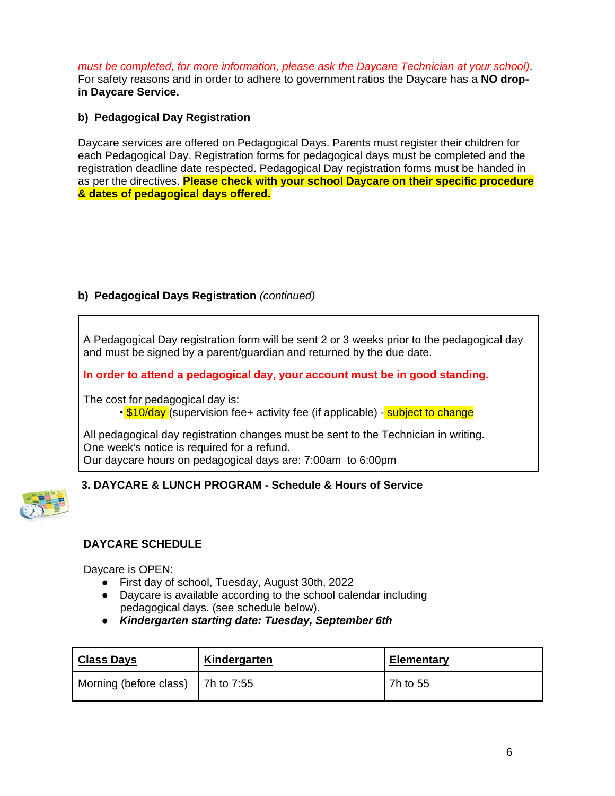*must be completed, for more information, please ask the Daycare Technician at your school).* For safety reasons and in order to adhere to government ratios the Daycare has a **NO dropin Daycare Service.**

# **b) Pedagogical Day Registration**

Daycare services are offered on Pedagogical Days. Parents must register their children for each Pedagogical Day. Registration forms for pedagogical days must be completed and the registration deadline date respected. Pedagogical Day registration forms must be handed in as per the directives. **Please check with your school Daycare on their specific procedure & dates of pedagogical days offered.**

# **b) Pedagogical Days Registration** *(continued)*

A Pedagogical Day registration form will be sent 2 or 3 weeks prior to the pedagogical day and must be signed by a parent/guardian and returned by the due date.

**In order to attend a pedagogical day, your account must be in good standing.**

The cost for pedagogical day is: • **\$10/day** (supervision fee+ activity fee (if applicable) - **subject to change** 

All pedagogical day registration changes must be sent to the Technician in writing. One week's notice is required for a refund. Our daycare hours on pedagogical days are: 7:00am to 6:00pm

# **3. DAYCARE & LUNCH PROGRAM - Schedule & Hours of Service**



# **DAYCARE SCHEDULE**

Daycare is OPEN:

- First day of school, Tuesday, August 30th, 2022
- Daycare is available according to the school calendar including pedagogical days. (see schedule below).
- *Kindergarten starting date: Tuesday, September 6th*

| Class Days                        | Kindergarten | <b>Elementary</b> |
|-----------------------------------|--------------|-------------------|
| Morning (before class) 7h to 7:55 |              | 7h to 55          |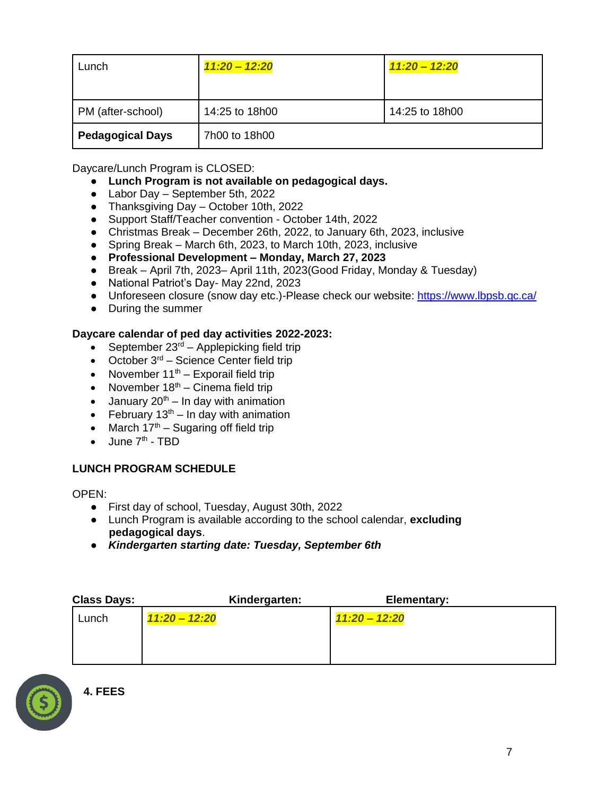| Lunch                   | $11:20 - 12:20$ | $11:20 - 12:20$ |
|-------------------------|-----------------|-----------------|
|                         |                 |                 |
| PM (after-school)       | 14:25 to 18h00  | 14:25 to 18h00  |
| <b>Pedagogical Days</b> | 7h00 to 18h00   |                 |

Daycare/Lunch Program is CLOSED:

- **Lunch Program is not available on pedagogical days.**
- Labor Day September 5th, 2022
- Thanksgiving Day October 10th, 2022
- Support Staff/Teacher convention October 14th, 2022
- Christmas Break December 26th, 2022, to January 6th, 2023, inclusive
- Spring Break March 6th, 2023, to March 10th, 2023, inclusive
- **Professional Development – Monday, March 27, 2023**
- Break April 7th, 2023– April 11th, 2023(Good Friday, Monday & Tuesday)
- National Patriot's Day- May 22nd, 2023
- Unforeseen closure (snow day etc.)-Please check our website:<https://www.lbpsb.qc.ca/>
- During the summer

# **Daycare calendar of ped day activities 2022-2023:**

- September  $23<sup>rd</sup>$  Applepicking field trip
- October  $3<sup>rd</sup>$  Science Center field trip
- November  $11<sup>th</sup>$  Exporail field trip
- November  $18<sup>th</sup>$  Cinema field trip
- January  $20<sup>th</sup> In day with animation$
- February  $13<sup>th</sup> In day with animation$
- March  $17<sup>th</sup>$  Sugaring off field trip
- $\bullet$  June  $7<sup>th</sup>$  TBD

# **LUNCH PROGRAM SCHEDULE**

OPEN:

- First day of school, Tuesday, August 30th, 2022
- Lunch Program is available according to the school calendar, **excluding pedagogical days**.
- *Kindergarten starting date: Tuesday, September 6th*

| <b>Class Days:</b> |                 | Kindergarten: | Elementary:     |
|--------------------|-----------------|---------------|-----------------|
| Lunch              | $11:20 - 12:20$ |               | $11:20 - 12:20$ |
|                    |                 |               |                 |
|                    |                 |               |                 |
|                    |                 |               |                 |

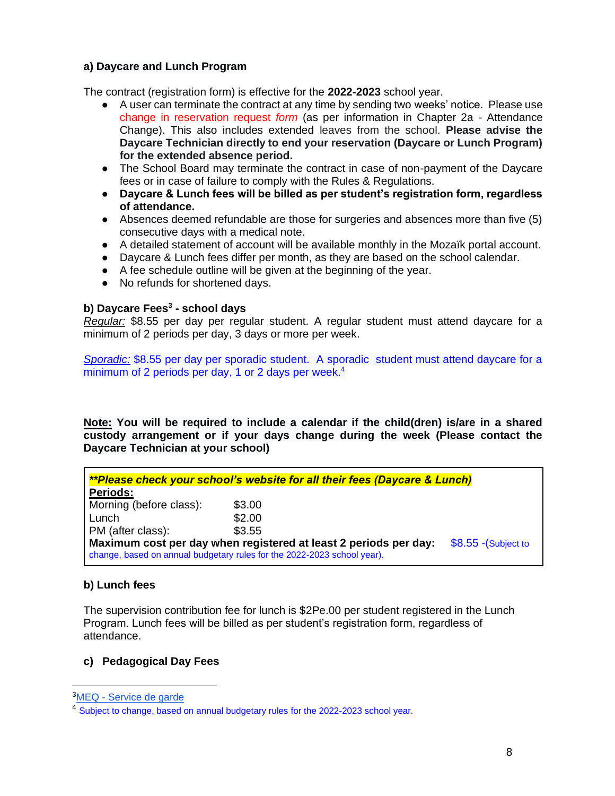# **a) Daycare and Lunch Program**

The contract (registration form) is effective for the **2022-2023** school year.

- A user can terminate the contract at any time by sending two weeks' notice. Please use change in reservation request *form* (as per information in Chapter 2a - Attendance Change). This also includes extended leaves from the school. **Please advise the Daycare Technician directly to end your reservation (Daycare or Lunch Program) for the extended absence period.**
- The School Board may terminate the contract in case of non-payment of the Daycare fees or in case of failure to comply with the Rules & Regulations.
- **Daycare & Lunch fees will be billed as per student's registration form, regardless of attendance.**
- Absences deemed refundable are those for surgeries and absences more than five (5) consecutive days with a medical note.
- A detailed statement of account will be available monthly in the Mozaïk portal account.
- Daycare & Lunch fees differ per month, as they are based on the school calendar.
- A fee schedule outline will be given at the beginning of the year.
- No refunds for shortened days.

#### **b) Daycare Fees<sup>3</sup> - school days**

*Regular:* \$8.55 per day per regular student. A regular student must attend daycare for a minimum of 2 periods per day, 3 days or more per week.

*Sporadic:* \$8.55 per day per sporadic student. A sporadic student must attend daycare for a minimum of 2 periods per day, 1 or 2 days per week. $4$ 

**Note: You will be required to include a calendar if the child(dren) is/are in a shared custody arrangement or if your days change during the week (Please contact the Daycare Technician at your school)**

| <i>**Please check your school's website for all their fees (Daycare &amp; Lunch)</i>                                                                                |        |  |  |
|---------------------------------------------------------------------------------------------------------------------------------------------------------------------|--------|--|--|
| <b>Periods:</b>                                                                                                                                                     |        |  |  |
| Morning (before class):                                                                                                                                             | \$3.00 |  |  |
| Lunch                                                                                                                                                               | \$2.00 |  |  |
| PM (after class):                                                                                                                                                   | \$3.55 |  |  |
| Maximum cost per day when registered at least 2 periods per day:<br>$$8.55$ -(Subject to<br>change, based on annual budgetary rules for the 2022-2023 school year). |        |  |  |

#### **b) Lunch fees**

The supervision contribution fee for lunch is \$2Pe.00 per student registered in the Lunch Program. Lunch fees will be billed as per student's registration form, regardless of attendance.

# **c) Pedagogical Day Fees**

<sup>&</sup>lt;sup>3</sup>MEQ - [Service de garde](http://www.education.gouv.qc.ca/contenus-communs/parents-et-tuteurs/services-de-garde/)

<sup>&</sup>lt;sup>4</sup> Subject to change, based on annual budgetary rules for the 2022-2023 school year.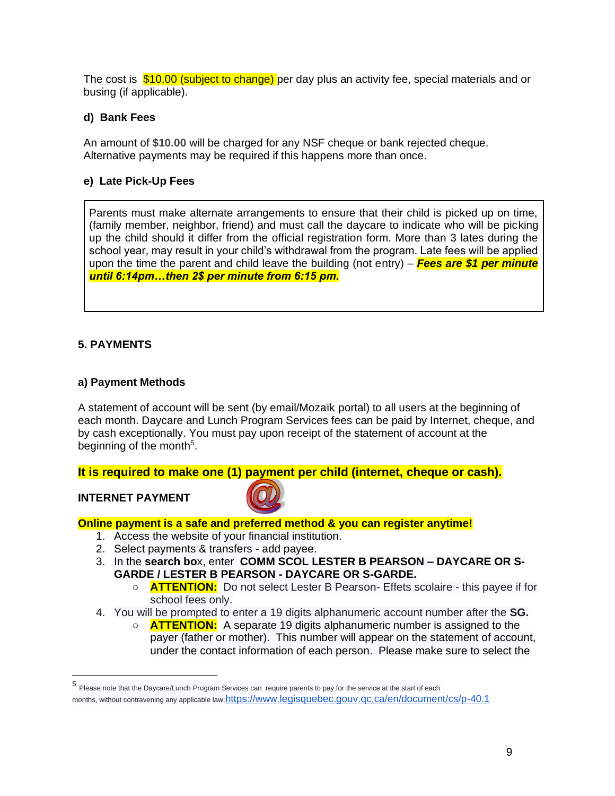The cost is  $$10.00$  (subject to change) per day plus an activity fee, special materials and or busing (if applicable).

# **d) Bank Fees**

An amount of **\$10.00** will be charged for any NSF cheque or bank rejected cheque. Alternative payments may be required if this happens more than once.

# **e) Late Pick-Up Fees**

Parents must make alternate arrangements to ensure that their child is picked up on time, (family member, neighbor, friend) and must call the daycare to indicate who will be picking up the child should it differ from the official registration form. More than 3 lates during the school year, may result in your child's withdrawal from the program. Late fees will be applied upon the time the parent and child leave the building (not entry) – *Fees are \$1 per minute until 6:14pm…then 2\$ per minute from 6:15 pm.*

# **5. PAYMENTS**

# **a) Payment Methods**

A statement of account will be sent (by email/Mozaïk portal) to all users at the beginning of each month. Daycare and Lunch Program Services fees can be paid by Internet, cheque, and by cash exceptionally. You must pay upon receipt of the statement of account at the beginning of the month<sup>5</sup>.

**It is required to make one (1) payment per child (internet, cheque or cash).**

#### **INTERNET PAYMENT**



#### **Online payment is a safe and preferred method & you can register anytime!**

- 1. Access the website of your financial institution.
- 2. Select payments & transfers add payee.
- 3. In the **search bo**x, enter **COMM SCOL LESTER B PEARSON – DAYCARE OR S-GARDE / LESTER B PEARSON - DAYCARE OR S-GARDE.**
	- **ATTENTION:** Do not select Lester B Pearson- Effets scolaire this payee if for school fees only.
- 4. You will be prompted to enter a 19 digits alphanumeric account number after the **SG.**
	- **ATTENTION:** A separate 19 digits alphanumeric number is assigned to the payer (father or mother). This number will appear on the statement of account, under the contact information of each person. Please make sure to select the

<sup>5</sup> Please note that the Daycare/Lunch Program Services can require parents to pay for the service at the start of each months, without contravening any applicable law:<https://www.legisquebec.gouv.qc.ca/en/document/cs/p-40.1>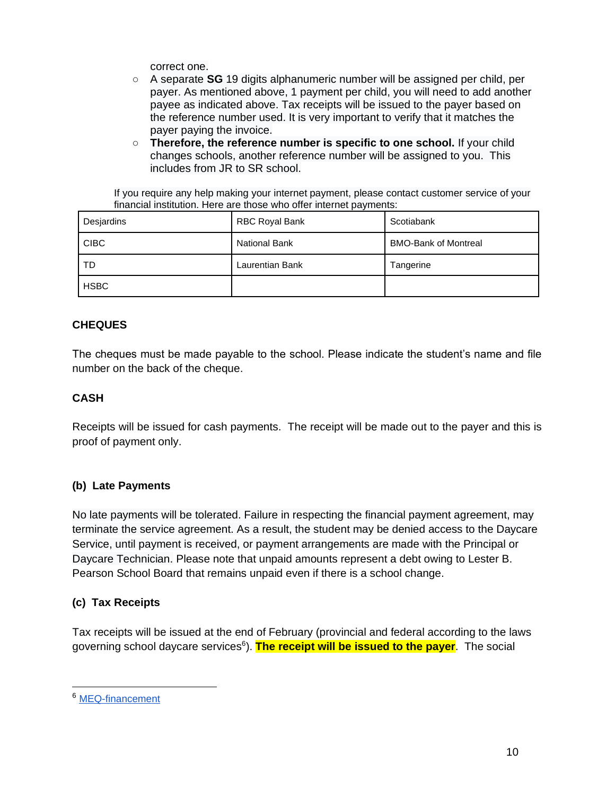correct one.

- A separate **SG** 19 digits alphanumeric number will be assigned per child, per payer. As mentioned above, 1 payment per child, you will need to add another payee as indicated above. Tax receipts will be issued to the payer based on the reference number used. It is very important to verify that it matches the payer paying the invoice.
- **Therefore, the reference number is specific to one school.** If your child changes schools, another reference number will be assigned to you. This includes from JR to SR school.

If you require any help making your internet payment, please contact customer service of your financial institution. Here are those who offer internet payments:

| Desjardins  | RBC Royal Bank         | Scotiabank                  |
|-------------|------------------------|-----------------------------|
| <b>CIBC</b> | <b>National Bank</b>   | <b>BMO-Bank of Montreal</b> |
| TD          | <b>Laurentian Bank</b> | Tangerine                   |
| <b>HSBC</b> |                        |                             |

# **CHEQUES**

The cheques must be made payable to the school. Please indicate the student's name and file number on the back of the cheque.

# **CASH**

Receipts will be issued for cash payments. The receipt will be made out to the payer and this is proof of payment only.

# **(b) Late Payments**

No late payments will be tolerated. Failure in respecting the financial payment agreement, may terminate the service agreement. As a result, the student may be denied access to the Daycare Service, until payment is received, or payment arrangements are made with the Principal or Daycare Technician. Please note that unpaid amounts represent a debt owing to Lester B. Pearson School Board that remains unpaid even if there is a school change.

# **(c) Tax Receipts**

Tax receipts will be issued at the end of February (provincial and federal according to the laws governing school daycare services<sup>6</sup>). The receipt will be issued to the payer. The social

<sup>6</sup> [MEQ-financement](http://www.education.gouv.qc.ca/contenus-communs/parents-et-tuteurs/services-de-garde/financement/)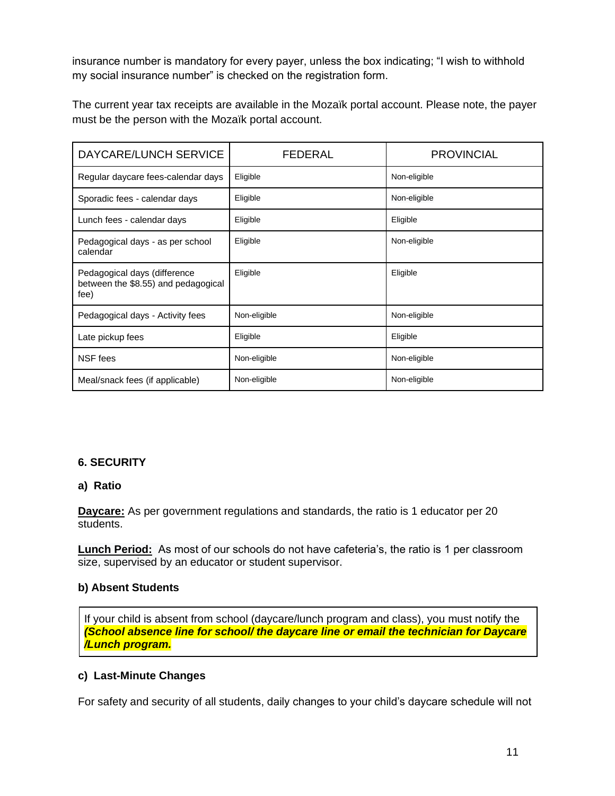insurance number is mandatory for every payer, unless the box indicating; "I wish to withhold my social insurance number" is checked on the registration form.

The current year tax receipts are available in the Mozaïk portal account. Please note, the payer must be the person with the Mozaïk portal account.

| DAYCARE/LUNCH SERVICE                                                       | FEDERAL      | <b>PROVINCIAL</b> |
|-----------------------------------------------------------------------------|--------------|-------------------|
| Regular daycare fees-calendar days                                          | Eligible     | Non-eligible      |
| Sporadic fees - calendar days                                               | Eligible     | Non-eligible      |
| Lunch fees - calendar days                                                  | Eligible     | Eligible          |
| Pedagogical days - as per school<br>calendar                                | Eligible     | Non-eligible      |
| Pedagogical days (difference<br>between the \$8.55) and pedagogical<br>fee) | Eligible     | Eligible          |
| Pedagogical days - Activity fees                                            | Non-eligible | Non-eligible      |
| Late pickup fees                                                            | Eligible     | Eligible          |
| NSF fees                                                                    | Non-eligible | Non-eligible      |
| Meal/snack fees (if applicable)                                             | Non-eligible | Non-eligible      |

# **6. SECURITY**

# **a) Ratio**

**Daycare:** As per government regulations and standards, the ratio is 1 educator per 20 students.

**Lunch Period:** As most of our schools do not have cafeteria's, the ratio is 1 per classroom size, supervised by an educator or student supervisor.

# **b) Absent Students**

If your child is absent from school (daycare/lunch program and class), you must notify the *(School absence line for school/ the daycare line or email the technician for Daycare /Lunch program.*

# **c) Last-Minute Changes**

For safety and security of all students, daily changes to your child's daycare schedule will not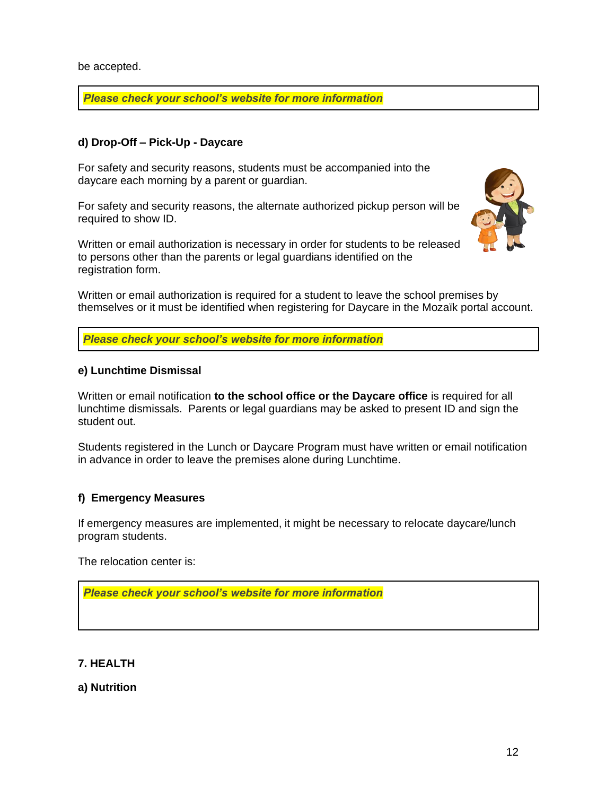be accepted.

*Please check your school's website for more information*

# **d) Drop-Off – Pick-Up - Daycare**

For safety and security reasons, students must be accompanied into the daycare each morning by a parent or guardian.

For safety and security reasons, the alternate authorized pickup person will be required to show ID.

Written or email authorization is necessary in order for students to be released to persons other than the parents or legal guardians identified on the registration form.



Written or email authorization is required for a student to leave the school premises by themselves or it must be identified when registering for Daycare in the Mozaïk portal account.

*Please check your school's website for more information*

# **e) Lunchtime Dismissal**

Written or email notification **to the school office or the Daycare office** is required for all lunchtime dismissals. Parents or legal guardians may be asked to present ID and sign the student out.

Students registered in the Lunch or Daycare Program must have written or email notification in advance in order to leave the premises alone during Lunchtime.

# **f) Emergency Measures**

If emergency measures are implemented, it might be necessary to relocate daycare/lunch program students.

The relocation center is:

*Please check your school's website for more information*

# **7. HEALTH**

# **a) Nutrition**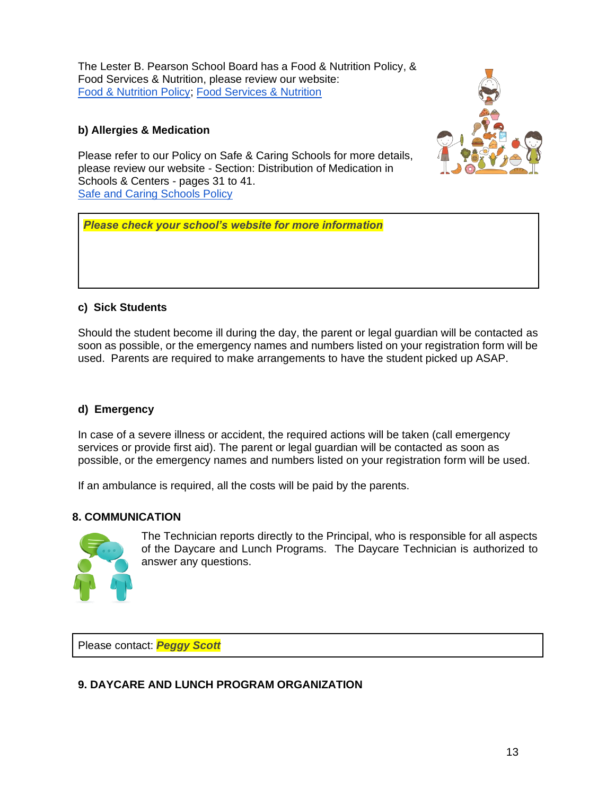The Lester B. Pearson School Board has a Food & Nutrition Policy, & Food Services & Nutrition, please review our website: [Food & Nutrition Policy;](https://www.lbpsb.qc.ca/wp-content/uploads/FINAL20Food20and20Nutrition20Policy20-20Adopted202018-01.pdf) [Food Services & Nutrition](http://nutrition.lbpsb.qc.ca/)

# **b) Allergies & Medication**



Please refer to our Policy on Safe & Caring Schools for more details, please review our website - Section: Distribution of Medication in Schools & Centers - pages 31 to 41. **[Safe and Caring Schools Policy](https://www.lbpsb.qc.ca/wp-content/uploads/Policy20on20Safe20and20Caring20Schools_Nov202016-v6_asof2017JAN11.pdf)** 

*Please check your school's website for more information*

# **c) Sick Students**

Should the student become ill during the day, the parent or legal guardian will be contacted as soon as possible, or the emergency names and numbers listed on your registration form will be used. Parents are required to make arrangements to have the student picked up ASAP.

# **d) Emergency**

In case of a severe illness or accident, the required actions will be taken (call emergency services or provide first aid). The parent or legal guardian will be contacted as soon as possible, or the emergency names and numbers listed on your registration form will be used.

If an ambulance is required, all the costs will be paid by the parents.

# **8. COMMUNICATION**



The Technician reports directly to the Principal, who is responsible for all aspects of the Daycare and Lunch Programs. The Daycare Technician is authorized to answer any questions.

Please contact: *Peggy Scott*

# **9. DAYCARE AND LUNCH PROGRAM ORGANIZATION**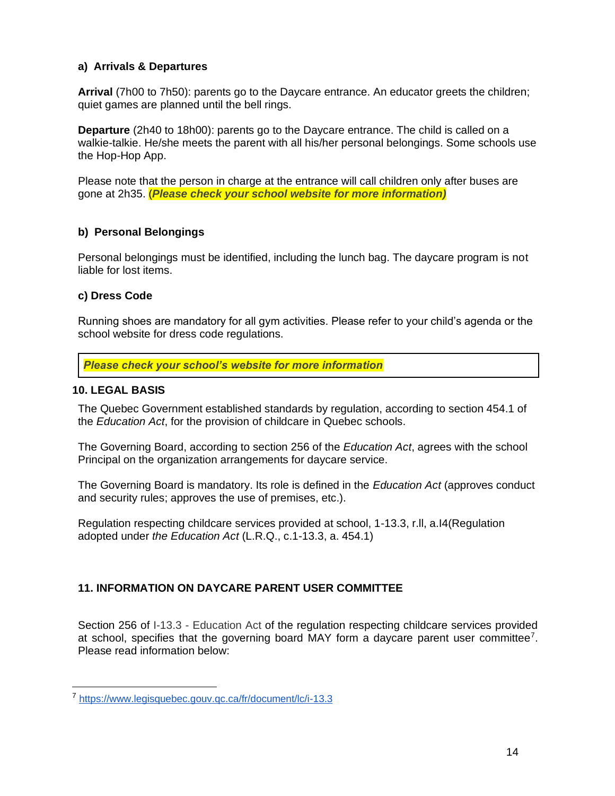# **a) Arrivals & Departures**

**Arrival** (7h00 to 7h50): parents go to the Daycare entrance. An educator greets the children; quiet games are planned until the bell rings.

**Departure** (2h40 to 18h00): parents go to the Daycare entrance. The child is called on a walkie-talkie. He/she meets the parent with all his/her personal belongings. Some schools use the Hop-Hop App.

Please note that the person in charge at the entrance will call children only after buses are gone at 2h35. (*Please check your school website for more information)*

# **b) Personal Belongings**

Personal belongings must be identified, including the lunch bag. The daycare program is not liable for lost items.

# **c) Dress Code**

Running shoes are mandatory for all gym activities. Please refer to your child's agenda or the school website for dress code regulations.

*Please check your school's website for more information*

# **10. LEGAL BASIS**

The Quebec Government established standards by regulation, according to section 454.1 of the *Education Act*, for the provision of childcare in Quebec schools.

The Governing Board, according to section 256 of the *Education Act*, agrees with the school Principal on the organization arrangements for daycare service.

The Governing Board is mandatory. Its role is defined in the *Education Act* (approves conduct and security rules; approves the use of premises, etc.).

Regulation respecting childcare services provided at school, 1-13.3, r.ll, a.I4(Regulation adopted under *the Education Act* (L.R.Q., c.1-13.3, a. 454.1)

# **11. INFORMATION ON DAYCARE PARENT USER COMMITTEE**

Section 256 of I-13.3 - Education Act of the regulation respecting childcare services provided at school, specifies that the governing board MAY form a daycare parent user committee<sup>7</sup>. Please read information below:

<sup>7</sup> <https://www.legisquebec.gouv.qc.ca/fr/document/lc/i-13.3>